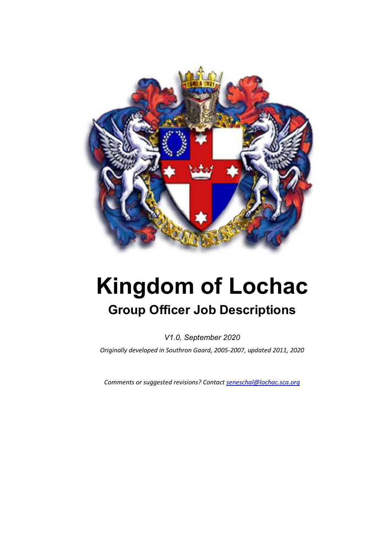

# **Kingdom of Lochac Group Officer Job Descriptions**

*V1.0, September 2020 Originally developed in Southron Gaard, 2005-2007, updated 2011, 2020* 

*Comments or suggested revisions? Contact seneschal@lochac.sca.org*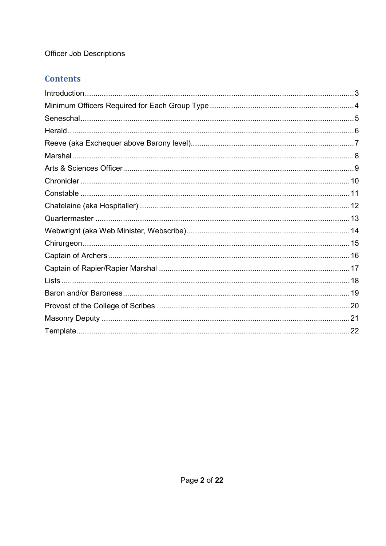### **Contents**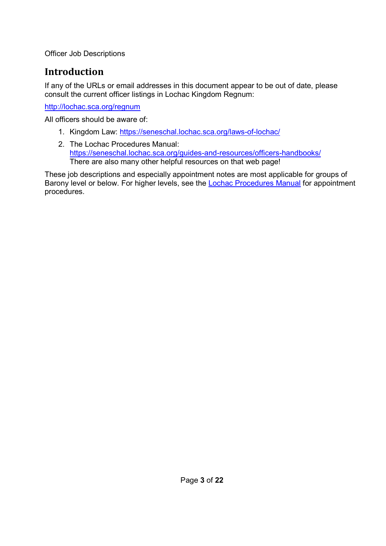# **Introduction**

If any of the URLs or email addresses in this document appear to be out of date, please consult the current officer listings in Lochac Kingdom Regnum:

http://lochac.sca.org/regnum

All officers should be aware of:

- 1. Kingdom Law: https://seneschal.lochac.sca.org/laws-of-lochac/
- 2. The Lochac Procedures Manual: https://seneschal.lochac.sca.org/guides-and-resources/officers-handbooks/ There are also many other helpful resources on that web page!

These job descriptions and especially appointment notes are most applicable for groups of Barony level or below. For higher levels, see the Lochac Procedures Manual for appointment procedures.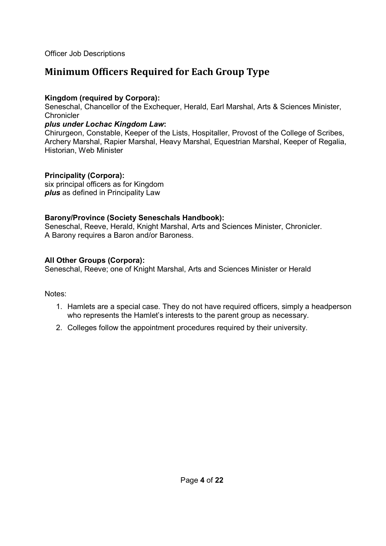### **Minimum Officers Required for Each Group Type**

#### **Kingdom (required by Corpora):**

Seneschal, Chancellor of the Exchequer, Herald, Earl Marshal, Arts & Sciences Minister, **Chronicler** 

#### *plus under Lochac Kingdom Law***:**

Chirurgeon, Constable, Keeper of the Lists, Hospitaller, Provost of the College of Scribes, Archery Marshal, Rapier Marshal, Heavy Marshal, Equestrian Marshal, Keeper of Regalia, Historian, Web Minister

#### **Principality (Corpora):**

six principal officers as for Kingdom *plus* as defined in Principality Law

#### **Barony/Province (Society Seneschals Handbook):**

Seneschal, Reeve, Herald, Knight Marshal, Arts and Sciences Minister, Chronicler. A Barony requires a Baron and/or Baroness.

#### **All Other Groups (Corpora):**

Seneschal, Reeve; one of Knight Marshal, Arts and Sciences Minister or Herald

Notes:

- 1. Hamlets are a special case. They do not have required officers, simply a headperson who represents the Hamlet's interests to the parent group as necessary.
- 2. Colleges follow the appointment procedures required by their university.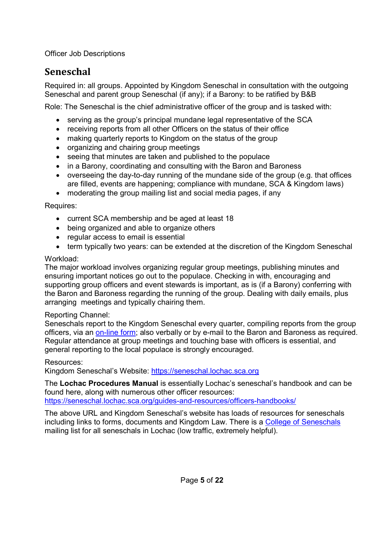## **Seneschal**

Required in: all groups. Appointed by Kingdom Seneschal in consultation with the outgoing Seneschal and parent group Seneschal (if any); if a Barony: to be ratified by B&B

Role: The Seneschal is the chief administrative officer of the group and is tasked with:

- serving as the group's principal mundane legal representative of the SCA
- receiving reports from all other Officers on the status of their office
- making quarterly reports to Kingdom on the status of the group
- organizing and chairing group meetings
- seeing that minutes are taken and published to the populace
- in a Barony, coordinating and consulting with the Baron and Baroness
- overseeing the day-to-day running of the mundane side of the group (e.g. that offices are filled, events are happening; compliance with mundane, SCA & Kingdom laws)
- moderating the group mailing list and social media pages, if any

Requires:

- current SCA membership and be aged at least 18
- being organized and able to organize others
- regular access to email is essential
- term typically two years: can be extended at the discretion of the Kingdom Seneschal

#### Workload:

The major workload involves organizing regular group meetings, publishing minutes and ensuring important notices go out to the populace. Checking in with, encouraging and supporting group officers and event stewards is important, as is (if a Barony) conferring with the Baron and Baroness regarding the running of the group. Dealing with daily emails, plus arranging meetings and typically chairing them.

#### Reporting Channel:

Seneschals report to the Kingdom Seneschal every quarter, compiling reports from the group officers, via an on-line form; also verbally or by e-mail to the Baron and Baroness as required. Regular attendance at group meetings and touching base with officers is essential, and general reporting to the local populace is strongly encouraged.

#### Resources:

Kingdom Seneschal's Website: https://seneschal.lochac.sca.org

The **Lochac Procedures Manual** is essentially Lochac's seneschal's handbook and can be found here, along with numerous other officer resources: https://seneschal.lochac.sca.org/guides-and-resources/officers-handbooks/

The above URL and Kingdom Seneschal's website has loads of resources for seneschals including links to forms, documents and Kingdom Law. There is a College of Seneschals mailing list for all seneschals in Lochac (low traffic, extremely helpful).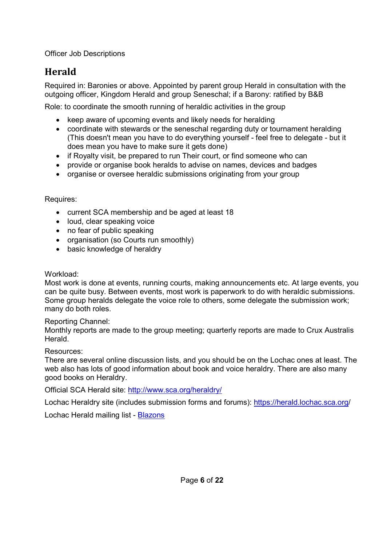# **Herald**

Required in: Baronies or above. Appointed by parent group Herald in consultation with the outgoing officer, Kingdom Herald and group Seneschal; if a Barony: ratified by B&B

Role: to coordinate the smooth running of heraldic activities in the group

- keep aware of upcoming events and likely needs for heralding
- coordinate with stewards or the seneschal regarding duty or tournament heralding (This doesn't mean you have to do everything yourself - feel free to delegate - but it does mean you have to make sure it gets done)
- if Royalty visit, be prepared to run Their court, or find someone who can
- provide or organise book heralds to advise on names, devices and badges
- organise or oversee heraldic submissions originating from your group

#### Requires:

- current SCA membership and be aged at least 18
- loud, clear speaking voice
- no fear of public speaking
- organisation (so Courts run smoothly)
- basic knowledge of heraldry

#### Workload:

Most work is done at events, running courts, making announcements etc. At large events, you can be quite busy. Between events, most work is paperwork to do with heraldic submissions. Some group heralds delegate the voice role to others, some delegate the submission work; many do both roles.

#### Reporting Channel:

Monthly reports are made to the group meeting; quarterly reports are made to Crux Australis **Herald** 

#### Resources:

There are several online discussion lists, and you should be on the Lochac ones at least. The web also has lots of good information about book and voice heraldry. There are also many good books on Heraldry.

Official SCA Herald site: http://www.sca.org/heraldry/

Lochac Heraldry site (includes submission forms and forums): https://herald.lochac.sca.org/

Lochac Herald mailing list - Blazons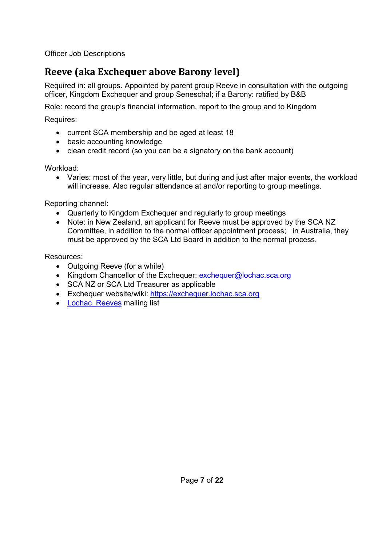# **Reeve (aka Exchequer above Barony level)**

Required in: all groups. Appointed by parent group Reeve in consultation with the outgoing officer, Kingdom Exchequer and group Seneschal; if a Barony: ratified by B&B

Role: record the group's financial information, report to the group and to Kingdom

Requires:

- current SCA membership and be aged at least 18
- basic accounting knowledge
- clean credit record (so you can be a signatory on the bank account)

Workload:

 Varies: most of the year, very little, but during and just after major events, the workload will increase. Also regular attendance at and/or reporting to group meetings.

Reporting channel:

- Quarterly to Kingdom Exchequer and regularly to group meetings
- Note: in New Zealand, an applicant for Reeve must be approved by the SCA NZ Committee, in addition to the normal officer appointment process; in Australia, they must be approved by the SCA Ltd Board in addition to the normal process.

- Outgoing Reeve (for a while)
- Kingdom Chancellor of the Exchequer: exchequer@lochac.sca.org
- SCA NZ or SCA Ltd Treasurer as applicable
- Exchequer website/wiki: https://exchequer.lochac.sca.org
- Lochac Reeves mailing list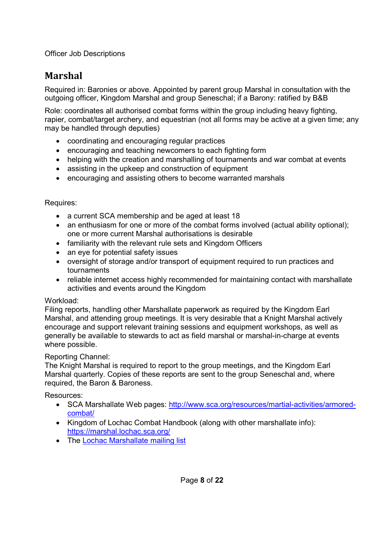### **Marshal**

Required in: Baronies or above. Appointed by parent group Marshal in consultation with the outgoing officer, Kingdom Marshal and group Seneschal; if a Barony: ratified by B&B

Role: coordinates all authorised combat forms within the group including heavy fighting, rapier, combat/target archery, and equestrian (not all forms may be active at a given time; any may be handled through deputies)

- coordinating and encouraging regular practices
- encouraging and teaching newcomers to each fighting form
- helping with the creation and marshalling of tournaments and war combat at events
- assisting in the upkeep and construction of equipment
- encouraging and assisting others to become warranted marshals

#### Requires:

- a current SCA membership and be aged at least 18
- an enthusiasm for one or more of the combat forms involved (actual ability optional); one or more current Marshal authorisations is desirable
- familiarity with the relevant rule sets and Kingdom Officers
- an eve for potential safety issues
- oversight of storage and/or transport of equipment required to run practices and tournaments
- reliable internet access highly recommended for maintaining contact with marshallate activities and events around the Kingdom

#### Workload:

Filing reports, handling other Marshallate paperwork as required by the Kingdom Earl Marshal, and attending group meetings. It is very desirable that a Knight Marshal actively encourage and support relevant training sessions and equipment workshops, as well as generally be available to stewards to act as field marshal or marshal-in-charge at events where possible.

#### Reporting Channel:

The Knight Marshal is required to report to the group meetings, and the Kingdom Earl Marshal quarterly. Copies of these reports are sent to the group Seneschal and, where required, the Baron & Baroness.

- SCA Marshallate Web pages: http://www.sca.org/resources/martial-activities/armoredcombat/
- Kingdom of Lochac Combat Handbook (along with other marshallate info): https://marshal.lochac.sca.org/
- The Lochac Marshallate mailing list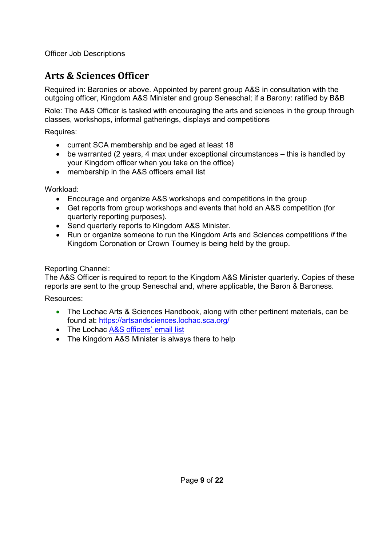### **Arts & Sciences Officer**

Required in: Baronies or above. Appointed by parent group A&S in consultation with the outgoing officer, Kingdom A&S Minister and group Seneschal; if a Barony: ratified by B&B

Role: The A&S Officer is tasked with encouraging the arts and sciences in the group through classes, workshops, informal gatherings, displays and competitions

Requires:

- current SCA membership and be aged at least 18
- be warranted (2 years, 4 max under exceptional circumstances this is handled by your Kingdom officer when you take on the office)
- membership in the A&S officers email list

Workload:

- Encourage and organize A&S workshops and competitions in the group
- Get reports from group workshops and events that hold an A&S competition (for quarterly reporting purposes).
- Send quarterly reports to Kingdom A&S Minister.
- Run or organize someone to run the Kingdom Arts and Sciences competitions *if* the Kingdom Coronation or Crown Tourney is being held by the group.

#### Reporting Channel:

The A&S Officer is required to report to the Kingdom A&S Minister quarterly. Copies of these reports are sent to the group Seneschal and, where applicable, the Baron & Baroness.

- The Lochac Arts & Sciences Handbook, along with other pertinent materials, can be found at: https://artsandsciences.lochac.sca.org/
- The Lochac A&S officers' email list
- The Kingdom A&S Minister is always there to help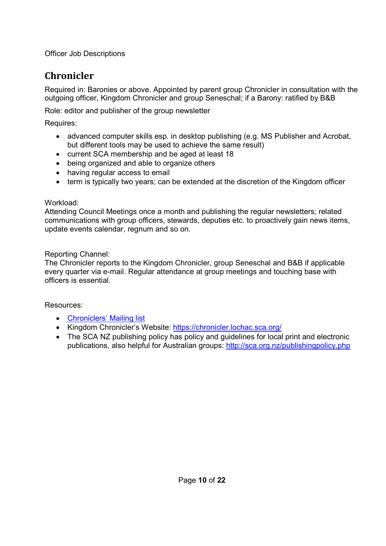## **Chronicler**

Required in: Baronies or above. Appointed by parent group Chronicler in consultation with the outgoing officer, Kingdom Chronicler and group Seneschal; if a Barony: ratified by B&B

Role: editor and publisher of the group newsletter

Requires:

- advanced computer skills esp. in desktop publishing (e.g. MS Publisher and Acrobat, but different tools may be used to achieve the same result)
- current SCA membership and be aged at least 18
- being organized and able to organize others
- having regular access to email
- term is typically two years; can be extended at the discretion of the Kingdom officer

#### Workload:

Attending Council Meetings once a month and publishing the regular newsletters; related communications with group officers, stewards, deputies etc. to proactively gain news items, update events calendar, regnum and so on.

#### Reporting Channel:

The Chronicler reports to the Kingdom Chronicler, group Seneschal and B&B if applicable every quarter via e-mail. Regular attendance at group meetings and touching base with officers is essential.

- Chroniclers' Mailing list
- Kingdom Chronicler's Website: https://chronicler.lochac.sca.org/
- The SCA NZ publishing policy has policy and quidelines for local print and electronic publications, also helpful for Australian groups: http://sca.org.nz/publishingpolicy.php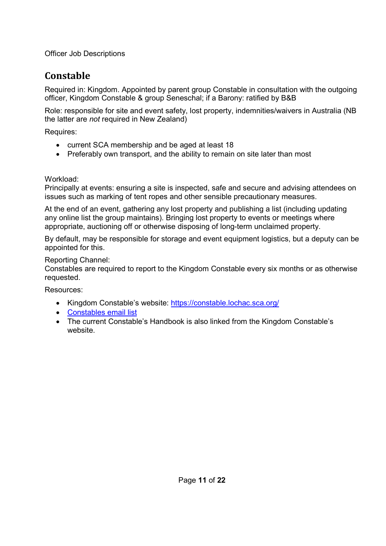# **Constable**

Required in: Kingdom. Appointed by parent group Constable in consultation with the outgoing officer, Kingdom Constable & group Seneschal; if a Barony: ratified by B&B

Role: responsible for site and event safety, lost property, indemnities/waivers in Australia (NB the latter are *not* required in New Zealand)

Requires:

- current SCA membership and be aged at least 18
- Preferably own transport, and the ability to remain on site later than most

Workload:

Principally at events: ensuring a site is inspected, safe and secure and advising attendees on issues such as marking of tent ropes and other sensible precautionary measures.

At the end of an event, gathering any lost property and publishing a list (including updating any online list the group maintains). Bringing lost property to events or meetings where appropriate, auctioning off or otherwise disposing of long-term unclaimed property.

By default, may be responsible for storage and event equipment logistics, but a deputy can be appointed for this.

#### Reporting Channel:

Constables are required to report to the Kingdom Constable every six months or as otherwise requested.

- Kingdom Constable's website: https://constable.lochac.sca.org/
- Constables email list
- The current Constable's Handbook is also linked from the Kingdom Constable's website.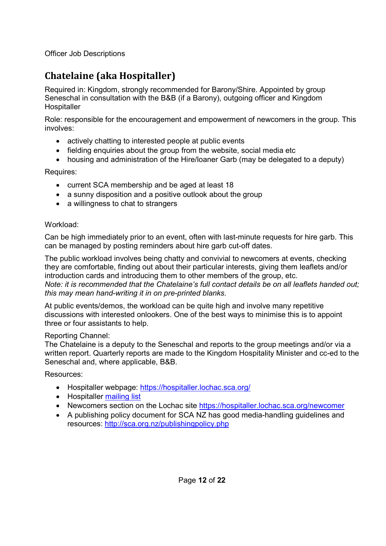# **Chatelaine (aka Hospitaller)**

Required in: Kingdom, strongly recommended for Barony/Shire. Appointed by group Seneschal in consultation with the B&B (if a Barony), outgoing officer and Kingdom **Hospitaller** 

Role: responsible for the encouragement and empowerment of newcomers in the group. This involves:

- actively chatting to interested people at public events
- fielding enquiries about the group from the website, social media etc
- housing and administration of the Hire/loaner Garb (may be delegated to a deputy)

Requires:

- current SCA membership and be aged at least 18
- a sunny disposition and a positive outlook about the group
- a willingness to chat to strangers

#### Workload:

Can be high immediately prior to an event, often with last-minute requests for hire garb. This can be managed by posting reminders about hire garb cut-off dates.

The public workload involves being chatty and convivial to newcomers at events, checking they are comfortable, finding out about their particular interests, giving them leaflets and/or introduction cards and introducing them to other members of the group, etc. *Note: it is recommended that the Chatelaine's full contact details be on all leaflets handed out; this may mean hand-writing it in on pre-printed blanks.*

At public events/demos, the workload can be quite high and involve many repetitive discussions with interested onlookers. One of the best ways to minimise this is to appoint three or four assistants to help.

#### Reporting Channel:

The Chatelaine is a deputy to the Seneschal and reports to the group meetings and/or via a written report. Quarterly reports are made to the Kingdom Hospitality Minister and cc-ed to the Seneschal and, where applicable, B&B.

- Hospitaller webpage: https://hospitaller.lochac.sca.org/
- Hospitaller mailing list
- Newcomers section on the Lochac site https://hospitaller.lochac.sca.org/newcomer
- A publishing policy document for SCA NZ has good media-handling guidelines and resources: http://sca.org.nz/publishingpolicy.php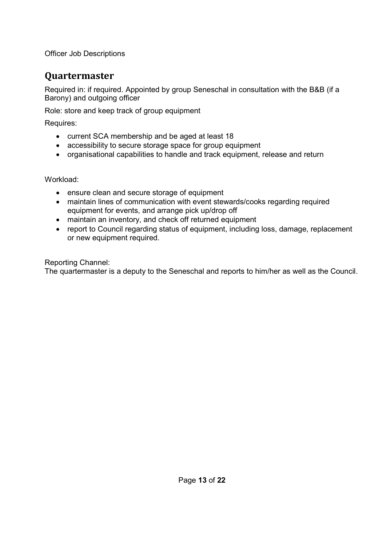### **Quartermaster**

Required in: if required. Appointed by group Seneschal in consultation with the B&B (if a Barony) and outgoing officer

Role: store and keep track of group equipment

Requires:

- current SCA membership and be aged at least 18
- accessibility to secure storage space for group equipment
- organisational capabilities to handle and track equipment, release and return

Workload:

- ensure clean and secure storage of equipment
- maintain lines of communication with event stewards/cooks regarding required equipment for events, and arrange pick up/drop off
- maintain an inventory, and check off returned equipment
- report to Council regarding status of equipment, including loss, damage, replacement or new equipment required.

Reporting Channel:

The quartermaster is a deputy to the Seneschal and reports to him/her as well as the Council.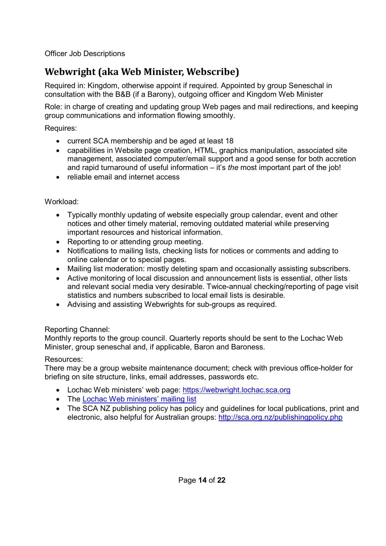# **Webwright (aka Web Minister, Webscribe)**

Required in: Kingdom, otherwise appoint if required. Appointed by group Seneschal in consultation with the B&B (if a Barony), outgoing officer and Kingdom Web Minister

Role: in charge of creating and updating group Web pages and mail redirections, and keeping group communications and information flowing smoothly.

Requires:

- current SCA membership and be aged at least 18
- capabilities in Website page creation, HTML, graphics manipulation, associated site management, associated computer/email support and a good sense for both accretion and rapid turnaround of useful information – it's *the* most important part of the job!
- reliable email and internet access

#### Workload:

- Typically monthly updating of website especially group calendar, event and other notices and other timely material, removing outdated material while preserving important resources and historical information.
- Reporting to or attending group meeting.
- Notifications to mailing lists, checking lists for notices or comments and adding to online calendar or to special pages.
- Mailing list moderation: mostly deleting spam and occasionally assisting subscribers.
- Active monitoring of local discussion and announcement lists is essential, other lists and relevant social media very desirable. Twice-annual checking/reporting of page visit statistics and numbers subscribed to local email lists is desirable.
- Advising and assisting Webwrights for sub-groups as required.

#### Reporting Channel:

Monthly reports to the group council. Quarterly reports should be sent to the Lochac Web Minister, group seneschal and, if applicable, Baron and Baroness.

#### Resources:

There may be a group website maintenance document; check with previous office-holder for briefing on site structure, links, email addresses, passwords etc.

- Lochac Web ministers' web page: https://webwright.lochac.sca.org
- The Lochac Web ministers' mailing list
- The SCA NZ publishing policy has policy and guidelines for local publications, print and electronic, also helpful for Australian groups: http://sca.org.nz/publishingpolicy.php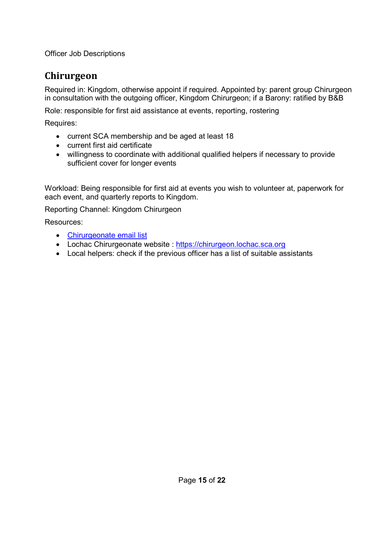### **Chirurgeon**

Required in: Kingdom, otherwise appoint if required. Appointed by: parent group Chirurgeon in consultation with the outgoing officer, Kingdom Chirurgeon; if a Barony: ratified by B&B

Role: responsible for first aid assistance at events, reporting, rostering

Requires:

- current SCA membership and be aged at least 18
- current first aid certificate
- willingness to coordinate with additional qualified helpers if necessary to provide sufficient cover for longer events

Workload: Being responsible for first aid at events you wish to volunteer at, paperwork for each event, and quarterly reports to Kingdom.

Reporting Channel: Kingdom Chirurgeon

- Chirurgeonate email list
- Lochac Chirurgeonate website : https://chirurgeon.lochac.sca.org
- Local helpers: check if the previous officer has a list of suitable assistants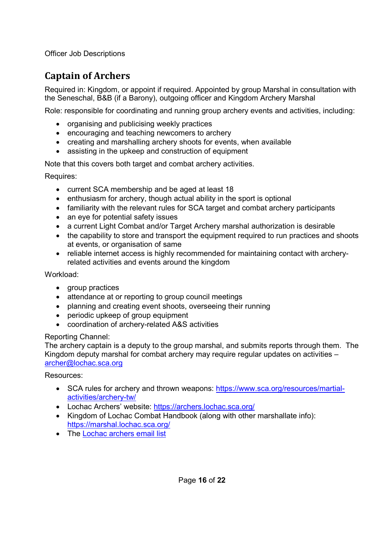# **Captain of Archers**

Required in: Kingdom, or appoint if required. Appointed by group Marshal in consultation with the Seneschal, B&B (if a Barony), outgoing officer and Kingdom Archery Marshal

Role: responsible for coordinating and running group archery events and activities, including:

- organising and publicising weekly practices
- encouraging and teaching newcomers to archery
- creating and marshalling archery shoots for events, when available
- assisting in the upkeep and construction of equipment

Note that this covers both target and combat archery activities.

Requires:

- current SCA membership and be aged at least 18
- enthusiasm for archery, though actual ability in the sport is optional
- familiarity with the relevant rules for SCA target and combat archery participants
- an eye for potential safety issues
- a current Light Combat and/or Target Archery marshal authorization is desirable
- the capability to store and transport the equipment required to run practices and shoots at events, or organisation of same
- reliable internet access is highly recommended for maintaining contact with archeryrelated activities and events around the kingdom

#### Workload:

- group practices
- attendance at or reporting to group council meetings
- planning and creating event shoots, overseeing their running
- periodic upkeep of group equipment
- coordination of archery-related A&S activities

#### Reporting Channel:

The archery captain is a deputy to the group marshal, and submits reports through them. The Kingdom deputy marshal for combat archery may require regular updates on activities – archer@lochac.sca.org

- SCA rules for archery and thrown weapons: https://www.sca.org/resources/martialactivities/archery-tw/
- Lochac Archers' website: https://archers.lochac.sca.org/
- Kingdom of Lochac Combat Handbook (along with other marshallate info): https://marshal.lochac.sca.org/
- The Lochac archers email list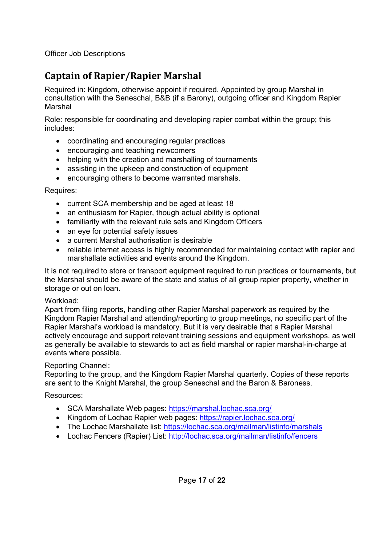# **Captain of Rapier/Rapier Marshal**

Required in: Kingdom, otherwise appoint if required. Appointed by group Marshal in consultation with the Seneschal, B&B (if a Barony), outgoing officer and Kingdom Rapier Marshal

Role: responsible for coordinating and developing rapier combat within the group; this includes:

- coordinating and encouraging regular practices
- encouraging and teaching newcomers
- helping with the creation and marshalling of tournaments
- assisting in the upkeep and construction of equipment
- encouraging others to become warranted marshals.

Requires:

- current SCA membership and be aged at least 18
- an enthusiasm for Rapier, though actual ability is optional
- familiarity with the relevant rule sets and Kingdom Officers
- an eye for potential safety issues
- a current Marshal authorisation is desirable
- reliable internet access is highly recommended for maintaining contact with rapier and marshallate activities and events around the Kingdom.

It is not required to store or transport equipment required to run practices or tournaments, but the Marshal should be aware of the state and status of all group rapier property, whether in storage or out on loan.

#### Workload:

Apart from filing reports, handling other Rapier Marshal paperwork as required by the Kingdom Rapier Marshal and attending/reporting to group meetings, no specific part of the Rapier Marshal's workload is mandatory. But it is very desirable that a Rapier Marshal actively encourage and support relevant training sessions and equipment workshops, as well as generally be available to stewards to act as field marshal or rapier marshal-in-charge at events where possible.

#### Reporting Channel:

Reporting to the group, and the Kingdom Rapier Marshal quarterly. Copies of these reports are sent to the Knight Marshal, the group Seneschal and the Baron & Baroness.

- SCA Marshallate Web pages: https://marshal.lochac.sca.org/
- Kingdom of Lochac Rapier web pages: https://rapier.lochac.sca.org/
- The Lochac Marshallate list: https://lochac.sca.org/mailman/listinfo/marshals
- Lochac Fencers (Rapier) List: http://lochac.sca.org/mailman/listinfo/fencers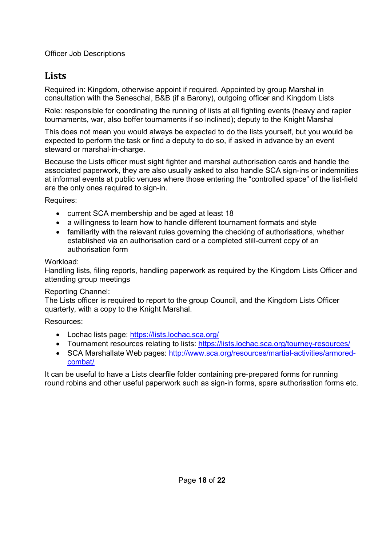### **Lists**

Required in: Kingdom, otherwise appoint if required. Appointed by group Marshal in consultation with the Seneschal, B&B (if a Barony), outgoing officer and Kingdom Lists

Role: responsible for coordinating the running of lists at all fighting events (heavy and rapier tournaments, war, also boffer tournaments if so inclined); deputy to the Knight Marshal

This does not mean you would always be expected to do the lists yourself, but you would be expected to perform the task or find a deputy to do so, if asked in advance by an event steward or marshal-in-charge.

Because the Lists officer must sight fighter and marshal authorisation cards and handle the associated paperwork, they are also usually asked to also handle SCA sign-ins or indemnities at informal events at public venues where those entering the "controlled space" of the list-field are the only ones required to sign-in.

Requires:

- current SCA membership and be aged at least 18
- a willingness to learn how to handle different tournament formats and style
- familiarity with the relevant rules governing the checking of authorisations, whether established via an authorisation card or a completed still-current copy of an authorisation form

#### Workload:

Handling lists, filing reports, handling paperwork as required by the Kingdom Lists Officer and attending group meetings

#### Reporting Channel:

The Lists officer is required to report to the group Council, and the Kingdom Lists Officer quarterly, with a copy to the Knight Marshal.

Resources:

- Lochac lists page: https://lists.lochac.sca.org/
- Tournament resources relating to lists: https://lists.lochac.sca.org/tourney-resources/
- SCA Marshallate Web pages: http://www.sca.org/resources/martial-activities/armoredcombat/

It can be useful to have a Lists clearfile folder containing pre-prepared forms for running round robins and other useful paperwork such as sign-in forms, spare authorisation forms etc.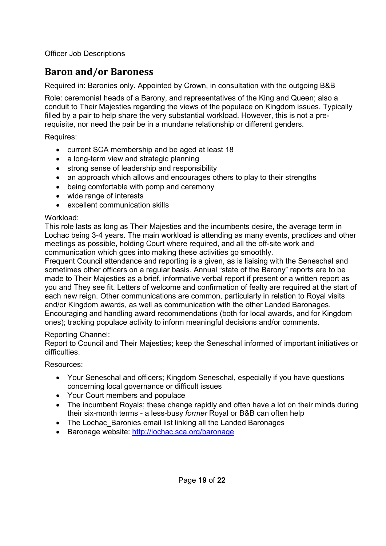# **Baron and/or Baroness**

Required in: Baronies only. Appointed by Crown, in consultation with the outgoing B&B

Role: ceremonial heads of a Barony, and representatives of the King and Queen; also a conduit to Their Majesties regarding the views of the populace on Kingdom issues. Typically filled by a pair to help share the very substantial workload. However, this is not a prerequisite, nor need the pair be in a mundane relationship or different genders.

Requires:

- current SCA membership and be aged at least 18
- a long-term view and strategic planning
- strong sense of leadership and responsibility
- an approach which allows and encourages others to play to their strengths
- being comfortable with pomp and ceremony
- wide range of interests
- excellent communication skills

#### Workload:

This role lasts as long as Their Majesties and the incumbents desire, the average term in Lochac being 3-4 years. The main workload is attending as many events, practices and other meetings as possible, holding Court where required, and all the off-site work and communication which goes into making these activities go smoothly.

Frequent Council attendance and reporting is a given, as is liaising with the Seneschal and sometimes other officers on a regular basis. Annual "state of the Barony" reports are to be made to Their Majesties as a brief, informative verbal report if present or a written report as you and They see fit. Letters of welcome and confirmation of fealty are required at the start of each new reign. Other communications are common, particularly in relation to Royal visits and/or Kingdom awards, as well as communication with the other Landed Baronages. Encouraging and handling award recommendations (both for local awards, and for Kingdom ones); tracking populace activity to inform meaningful decisions and/or comments.

#### Reporting Channel:

Report to Council and Their Majesties; keep the Seneschal informed of important initiatives or difficulties.

- Your Seneschal and officers; Kingdom Seneschal, especially if you have questions concerning local governance or difficult issues
- Your Court members and populace
- The incumbent Royals; these change rapidly and often have a lot on their minds during their six-month terms - a less-busy *former* Royal or B&B can often help
- The Lochac Baronies email list linking all the Landed Baronages
- Baronage website: http://lochac.sca.org/baronage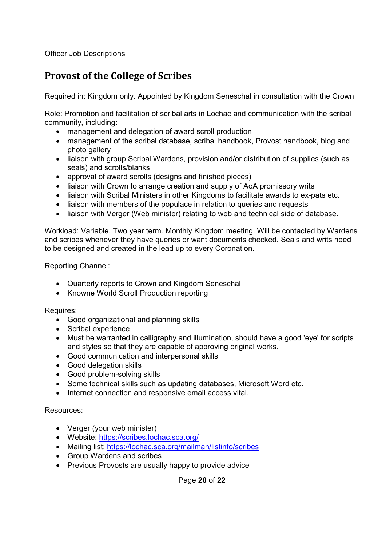### **Provost of the College of Scribes**

Required in: Kingdom only. Appointed by Kingdom Seneschal in consultation with the Crown

Role: Promotion and facilitation of scribal arts in Lochac and communication with the scribal community, including:

- management and delegation of award scroll production
- management of the scribal database, scribal handbook, Provost handbook, blog and photo gallery
- liaison with group Scribal Wardens, provision and/or distribution of supplies (such as seals) and scrolls/blanks
- approval of award scrolls (designs and finished pieces)
- liaison with Crown to arrange creation and supply of AoA promissory writs
- liaison with Scribal Ministers in other Kingdoms to facilitate awards to ex-pats etc.
- liaison with members of the populace in relation to queries and requests
- liaison with Verger (Web minister) relating to web and technical side of database.

Workload: Variable. Two year term. Monthly Kingdom meeting. Will be contacted by Wardens and scribes whenever they have queries or want documents checked. Seals and writs need to be designed and created in the lead up to every Coronation.

Reporting Channel:

- Quarterly reports to Crown and Kingdom Seneschal
- Knowne World Scroll Production reporting

Requires:

- Good organizational and planning skills
- Scribal experience
- Must be warranted in calligraphy and illumination, should have a good 'eye' for scripts and styles so that they are capable of approving original works.
- Good communication and interpersonal skills
- Good delegation skills
- Good problem-solving skills
- Some technical skills such as updating databases, Microsoft Word etc.
- Internet connection and responsive email access vital.

Resources:

- Verger (your web minister)
- Website: https://scribes.lochac.sca.org/
- Mailing list: https://lochac.sca.org/mailman/listinfo/scribes
- Group Wardens and scribes
- Previous Provosts are usually happy to provide advice

Page **20** of **22**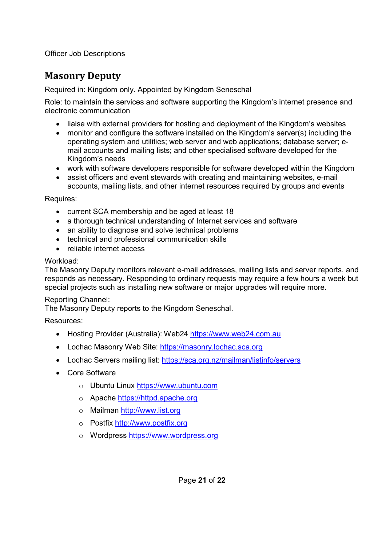### **Masonry Deputy**

Required in: Kingdom only. Appointed by Kingdom Seneschal

Role: to maintain the services and software supporting the Kingdom's internet presence and electronic communication

- liaise with external providers for hosting and deployment of the Kingdom's websites
- monitor and configure the software installed on the Kingdom's server(s) including the operating system and utilities; web server and web applications; database server; email accounts and mailing lists; and other specialised software developed for the Kingdom's needs
- work with software developers responsible for software developed within the Kingdom
- assist officers and event stewards with creating and maintaining websites, e-mail accounts, mailing lists, and other internet resources required by groups and events

Requires:

- current SCA membership and be aged at least 18
- a thorough technical understanding of Internet services and software
- an ability to diagnose and solve technical problems
- technical and professional communication skills
- reliable internet access

#### Workload:

The Masonry Deputy monitors relevant e-mail addresses, mailing lists and server reports, and responds as necessary. Responding to ordinary requests may require a few hours a week but special projects such as installing new software or major upgrades will require more.

#### Reporting Channel:

The Masonry Deputy reports to the Kingdom Seneschal.

- Hosting Provider (Australia): Web24 https://www.web24.com.au
- Lochac Masonry Web Site: https://masonry.lochac.sca.org
- Lochac Servers mailing list: https://sca.org.nz/mailman/listinfo/servers
- Core Software
	- o Ubuntu Linux https://www.ubuntu.com
	- o Apache https://httpd.apache.org
	- o Mailman http://www.list.org
	- o Postfix http://www.postfix.org
	- o Wordpress https://www.wordpress.org